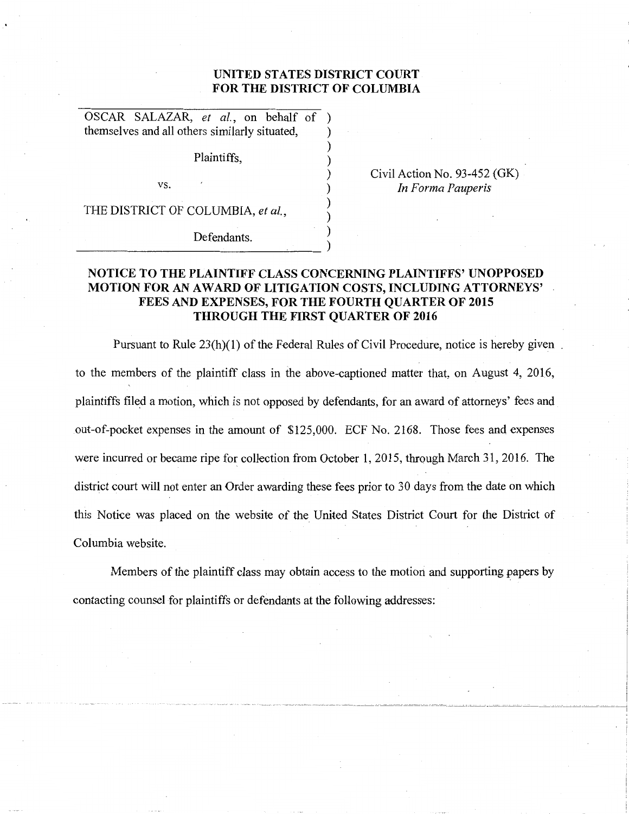## **UNITED STATES DISTRICT COURT FOR THE DISTRICT OF COLUMBIA**

) ) ) ) ) )

OSCAR SALAZAR, *et al.,* on behalf of ) themselves and all others similarly situated, )

Plaintiffs,

VS.

Civil Action No. 93-452 {GK) *In Forma Pauperis* 

THE DISTRICT OF COLUMBIA, *et al.,* 

 $Defendants.$ 

## **NOTICE TO THE PLAINTIFF CLASS CONCERNING PLAINTIFFS' UNOPPOSED MOTION FOR** AN A **WARD OF LITIGATION COSTS, INCLUDING ATTORNEYS' FEES AND EXPENSES, FOR THE FOURTH QUARTER OF 2015 THROUGH THE FIRST QUARTER OF 2016**

Pursuant to Rule 23(h)(1) of the Federal Rules of Civil Procedure, notice is hereby given to the members of the plaintiff class in the above-captioned matter that, on August 4, 2016, plaintiffs filed a motion, which is not opposed by defendants, for an award of attorneys' fees and out-of-pocket expenses in the amount of \$125,000. ECF No. 2168. Those fees and expenses were incurred or became ripe for collection from October **1,** 2015, through March 31, 2016. The district court will not enter an Order awarding these fees prior to 30 days from the date on which this Notice was placed on the website of the United States District Court for the District of Columbia website.

Members of the plaintiff class may obtain access to the motion and supporting papers by contacting counsel for plaintiffs or defendants at the following addresses: